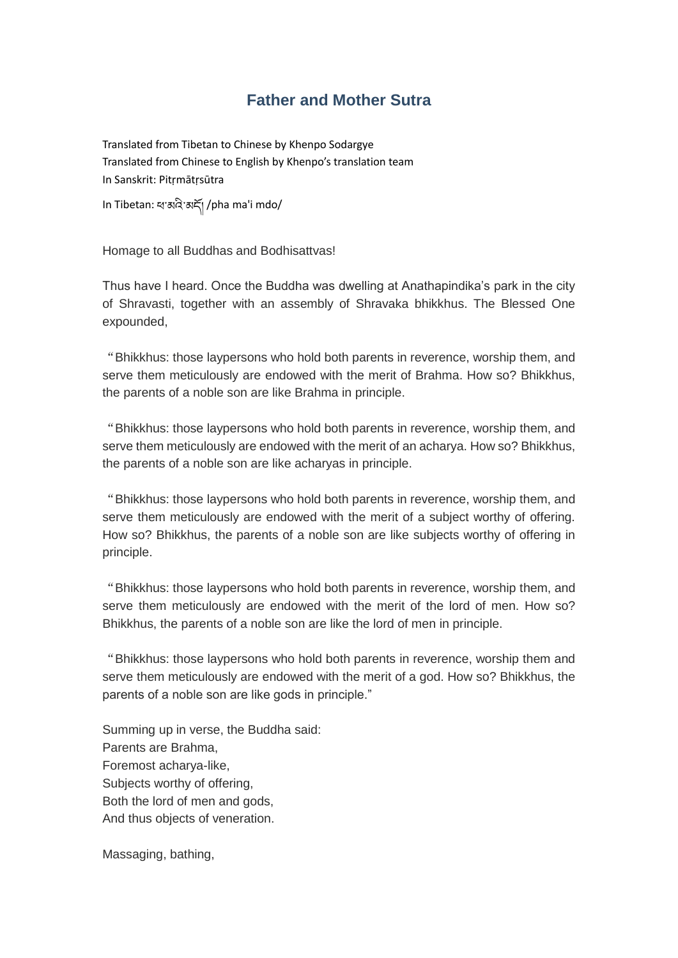## **Father and Mother Sutra**

Translated from Tibetan to Chinese by Khenpo Sodargye Translated from Chinese to English by Khenpo's translation team In Sanskrit: Pitṛmātṛsūtra

In Tibetan: ཕ་མའི་མདོ། /pha ma'i mdo/

Homage to all Buddhas and Bodhisattvas!

Thus have I heard. Once the Buddha was dwelling at Anathapindika's park in the city of Shravasti, together with an assembly of Shravaka bhikkhus. The Blessed One expounded,

"Bhikkhus: those laypersons who hold both parents in reverence, worship them, and serve them meticulously are endowed with the merit of Brahma. How so? Bhikkhus, the parents of a noble son are like Brahma in principle.

"Bhikkhus: those laypersons who hold both parents in reverence, worship them, and serve them meticulously are endowed with the merit of an acharya. How so? Bhikkhus, the parents of a noble son are like acharyas in principle.

"Bhikkhus: those laypersons who hold both parents in reverence, worship them, and serve them meticulously are endowed with the merit of a subject worthy of offering. How so? Bhikkhus, the parents of a noble son are like subjects worthy of offering in principle.

"Bhikkhus: those laypersons who hold both parents in reverence, worship them, and serve them meticulously are endowed with the merit of the lord of men. How so? Bhikkhus, the parents of a noble son are like the lord of men in principle.

"Bhikkhus: those laypersons who hold both parents in reverence, worship them and serve them meticulously are endowed with the merit of a god. How so? Bhikkhus, the parents of a noble son are like gods in principle."

Summing up in verse, the Buddha said: Parents are Brahma, Foremost acharya-like, Subjects worthy of offering, Both the lord of men and gods, And thus objects of veneration.

Massaging, bathing,